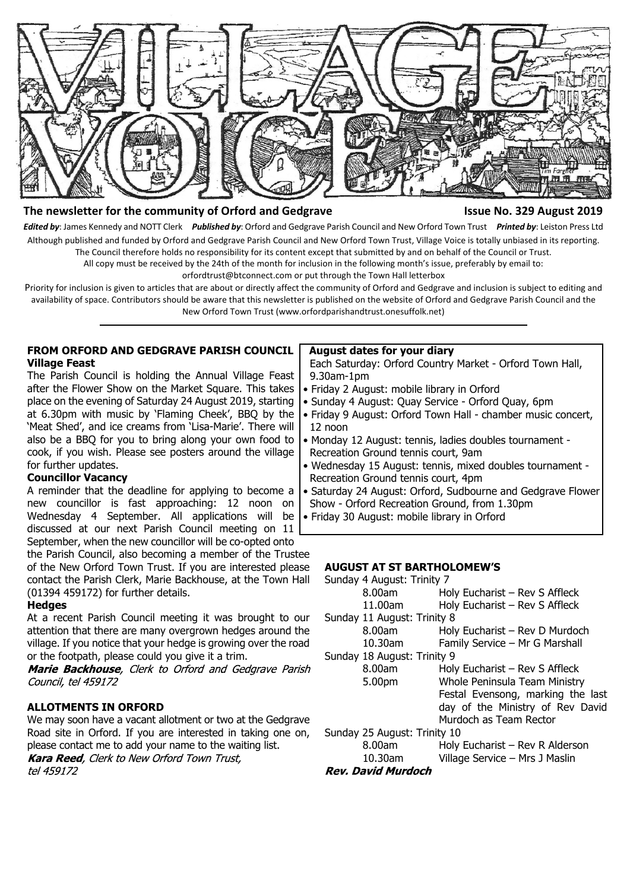

#### **The newsletter for the community of Orford and Gedgrave Issue No. 329 August 2019**

*Edited by*: James Kennedy and NOTT Clerk *Published by*: Orford and Gedgrave Parish Council and New Orford Town Trust *Printed by*: Leiston Press Ltd Although published and funded by Orford and Gedgrave Parish Council and New Orford Town Trust, Village Voice is totally unbiased in its reporting. The Council therefore holds no responsibility for its content except that submitted by and on behalf of the Council or Trust.

All copy must be received by the 24th of the month for inclusion in the following month's issue, preferably by email to:

orfordtrust@btconnect.com or put through the Town Hall letterbox

Priority for inclusion is given to articles that are about or directly affect the community of Orford and Gedgrave and inclusion is subject to editing and availability of space. Contributors should be aware that this newsletter is published on the website of Orford and Gedgrave Parish Council and the New Orford Town Trust (www.orfordparishandtrust.onesuffolk.net)

#### **FROM ORFORD AND GEDGRAVE PARISH COUNCIL Village Feast**

The Parish Council is holding the Annual Village Feast after the Flower Show on the Market Square. This takes place on the evening of Saturday 24 August 2019, starting at 6.30pm with music by 'Flaming Cheek', BBQ by the 'Meat Shed', and ice creams from 'Lisa-Marie'. There will also be a BBQ for you to bring along your own food to cook, if you wish. Please see posters around the village for further updates.

#### **Councillor Vacancy**

A reminder that the deadline for applying to become a new councillor is fast approaching: 12 noon on Wednesday 4 September. All applications will be discussed at our next Parish Council meeting on 11 September, when the new councillor will be co-opted onto

the Parish Council, also becoming a member of the Trustee of the New Orford Town Trust. If you are interested please contact the Parish Clerk, Marie Backhouse, at the Town Hall (01394 459172) for further details.

#### **Hedges**

At a recent Parish Council meeting it was brought to our attention that there are many overgrown hedges around the village. If you notice that your hedge is growing over the road or the footpath, please could you give it a trim.

Marie Backhouse, Clerk to Orford and Gedgrave Parish Council, tel 459172

#### **ALLOTMENTS IN ORFORD**

We may soon have a vacant allotment or two at the Gedgrave Road site in Orford. If you are interested in taking one on, please contact me to add your name to the waiting list.<br>**Kara Reed**, Clerk to New Orford Town Trust.

tel 459172

#### **August dates for your diary**

 Each Saturday: Orford Country Market - Orford Town Hall, 9.30am-1pm

- Friday 2 August: mobile library in Orford
- Sunday 4 August: Quay Service Orford Quay, 6pm
- Friday 9 August: Orford Town Hall chamber music concert, 12 noon
- Monday 12 August: tennis, ladies doubles tournament Recreation Ground tennis court, 9am
- Wednesday 15 August: tennis, mixed doubles tournament Recreation Ground tennis court, 4pm
- Saturday 24 August: Orford, Sudbourne and Gedgrave Flower
- Show Orford Recreation Ground, from 1.30pm
- Friday 30 August: mobile library in Orford

#### **AUGUST AT ST BARTHOLOMEW'S**

| Sunday 4 August: Trinity 7   |                                   |
|------------------------------|-----------------------------------|
| 8.00am                       | Holy Eucharist - Rev S Affleck    |
| 11.00am                      | Holy Eucharist - Rev S Affleck    |
| Sunday 11 August: Trinity 8  |                                   |
| 8.00am                       | Holy Eucharist - Rev D Murdoch    |
| 10.30am                      | Family Service - Mr G Marshall    |
| Sunday 18 August: Trinity 9  |                                   |
| 8.00am                       | Holy Eucharist – Rev S Affleck    |
| 5.00pm                       | Whole Peninsula Team Ministry     |
|                              | Festal Evensong, marking the last |
|                              | day of the Ministry of Rev David  |
|                              | Murdoch as Team Rector            |
| Sunday 25 August: Trinity 10 |                                   |
| 8.00am                       | Holy Eucharist - Rev R Alderson   |
| 10.30am                      | Village Service - Mrs J Maslin    |
| Rev. David Murdoch           |                                   |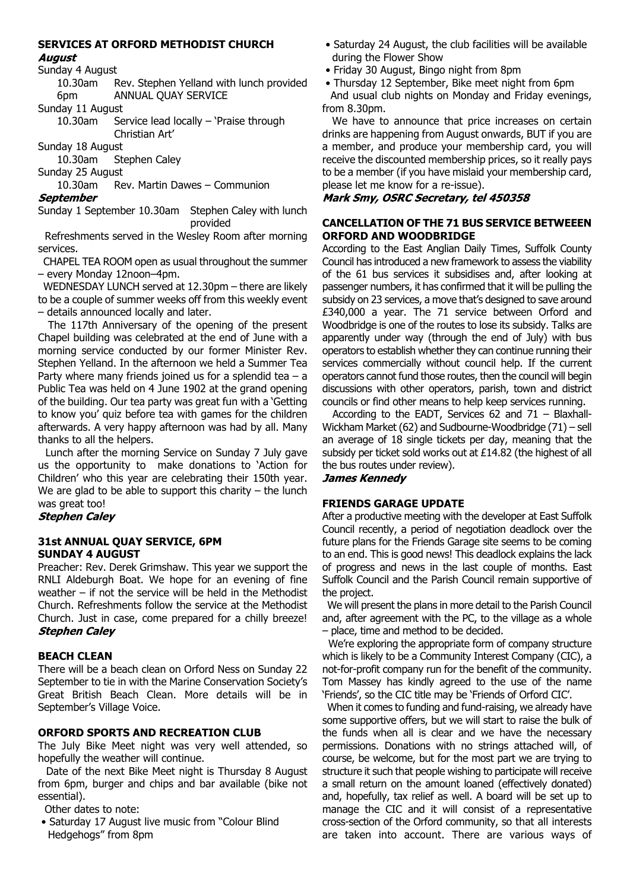# **SERVICES AT ORFORD METHODIST CHURCH**

# **August**

Sunday 4 August

10.30am Rev. Stephen Yelland with lunch provided 6pm ANNUAL QUAY SERVICE

Sunday 11 August

10.30am Service lead locally – 'Praise through Christian Art'

Sunday 18 August

10.30am Stephen Caley

Sunday 25 August

10.30am Rev. Martin Dawes – Communion

**September** 

Sunday 1 September 10.30am Stephen Caley with lunch provided

 Refreshments served in the Wesley Room after morning services.

 CHAPEL TEA ROOM open as usual throughout the summer – every Monday 12noon–4pm.

 WEDNESDAY LUNCH served at 12.30pm – there are likely to be a couple of summer weeks off from this weekly event – details announced locally and later.

 The 117th Anniversary of the opening of the present Chapel building was celebrated at the end of June with a morning service conducted by our former Minister Rev. Stephen Yelland. In the afternoon we held a Summer Tea Party where many friends joined us for a splendid tea  $-$  a Public Tea was held on 4 June 1902 at the grand opening of the building. Our tea party was great fun with a 'Getting to know you' quiz before tea with games for the children afterwards. A very happy afternoon was had by all. Many thanks to all the helpers.

 Lunch after the morning Service on Sunday 7 July gave us the opportunity to make donations to 'Action for Children' who this year are celebrating their 150th year. We are glad to be able to support this charity  $-$  the lunch was great too!

# **Stephen Caley**

# **31st ANNUAL QUAY SERVICE, 6PM SUNDAY 4 AUGUST**

Preacher: Rev. Derek Grimshaw. This year we support the RNLI Aldeburgh Boat. We hope for an evening of fine weather – if not the service will be held in the Methodist Church. Refreshments follow the service at the Methodist Church. Just in case, come prepared for a chilly breeze! **Stephen Calev** 

# **BEACH CLEAN**

There will be a beach clean on Orford Ness on Sunday 22 September to tie in with the Marine Conservation Society's Great British Beach Clean. More details will be in September's Village Voice.

# **ORFORD SPORTS AND RECREATION CLUB**

The July Bike Meet night was very well attended, so hopefully the weather will continue.

 Date of the next Bike Meet night is Thursday 8 August from 6pm, burger and chips and bar available (bike not essential).

Other dates to note:

 • Saturday 17 August live music from "Colour Blind Hedgehogs" from 8pm

- Saturday 24 August, the club facilities will be available during the Flower Show
- Friday 30 August, Bingo night from 8pm
- Thursday 12 September, Bike meet night from 6pm

 And usual club nights on Monday and Friday evenings, from 8.30pm.

We have to announce that price increases on certain drinks are happening from August onwards, BUT if you are a member, and produce your membership card, you will receive the discounted membership prices, so it really pays to be a member (if you have mislaid your membership card, please let me know for a re-issue).

# Mark Smy, OSRC Secretary, tel 450358

# **CANCELLATION OF THE 71 BUS SERVICE BETWEEEN ORFORD AND WOODBRIDGE**

According to the East Anglian Daily Times, Suffolk County Council has introduced a new framework to assess the viability of the 61 bus services it subsidises and, after looking at passenger numbers, it has confirmed that it will be pulling the subsidy on 23 services, a move that's designed to save around £340,000 a year. The 71 service between Orford and Woodbridge is one of the routes to lose its subsidy. Talks are apparently under way (through the end of July) with bus operators to establish whether they can continue running their services commercially without council help. If the current operators cannot fund those routes, then the council will begin discussions with other operators, parish, town and district councils or find other means to help keep services running.

 According to the EADT, Services 62 and 71 – Blaxhall-Wickham Market (62) and Sudbourne-Woodbridge (71) – sell an average of 18 single tickets per day, meaning that the subsidy per ticket sold works out at £14.82 (the highest of all the bus routes under review).

#### **James Kennedy**

# **FRIENDS GARAGE UPDATE**

After a productive meeting with the developer at East Suffolk Council recently, a period of negotiation deadlock over the future plans for the Friends Garage site seems to be coming to an end. This is good news! This deadlock explains the lack of progress and news in the last couple of months. East Suffolk Council and the Parish Council remain supportive of the project.

 We will present the plans in more detail to the Parish Council and, after agreement with the PC, to the village as a whole – place, time and method to be decided.

 We're exploring the appropriate form of company structure which is likely to be a Community Interest Company (CIC), a not-for-profit company run for the benefit of the community. Tom Massey has kindly agreed to the use of the name 'Friends', so the CIC title may be 'Friends of Orford CIC'.

 When it comes to funding and fund-raising, we already have some supportive offers, but we will start to raise the bulk of the funds when all is clear and we have the necessary permissions. Donations with no strings attached will, of course, be welcome, but for the most part we are trying to structure it such that people wishing to participate will receive a small return on the amount loaned (effectively donated) and, hopefully, tax relief as well. A board will be set up to manage the CIC and it will consist of a representative cross-section of the Orford community, so that all interests are taken into account. There are various ways of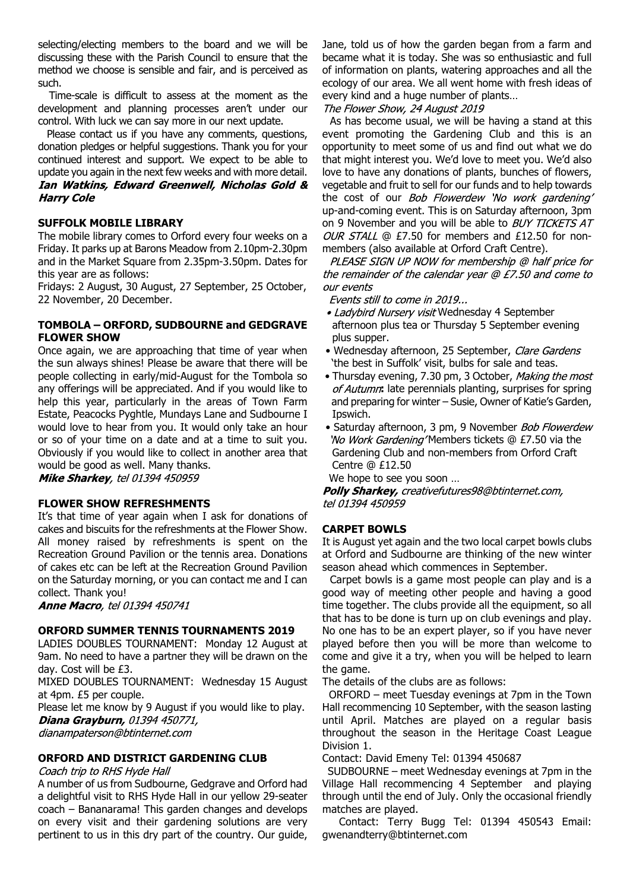selecting/electing members to the board and we will be discussing these with the Parish Council to ensure that the method we choose is sensible and fair, and is perceived as such.

 Time-scale is difficult to assess at the moment as the development and planning processes aren't under our control. With luck we can say more in our next update.

 Please contact us if you have any comments, questions, donation pledges or helpful suggestions. Thank you for your continued interest and support. We expect to be able to update you again in the next few weeks and with more detail. Ian Watkins, Edward Greenwell, Nicholas Gold & **Harry Cole** 

#### **SUFFOLK MOBILE LIBRARY**

The mobile library comes to Orford every four weeks on a Friday. It parks up at Barons Meadow from 2.10pm-2.30pm and in the Market Square from 2.35pm-3.50pm. Dates for this year are as follows:

Fridays: 2 August, 30 August, 27 September, 25 October, 22 November, 20 December.

### **TOMBOLA – ORFORD, SUDBOURNE and GEDGRAVE FLOWER SHOW**

Once again, we are approaching that time of year when the sun always shines! Please be aware that there will be people collecting in early/mid-August for the Tombola so any offerings will be appreciated. And if you would like to help this year, particularly in the areas of Town Farm Estate, Peacocks Pyghtle, Mundays Lane and Sudbourne I would love to hear from you. It would only take an hour or so of your time on a date and at a time to suit you. Obviously if you would like to collect in another area that would be good as well. Many thanks.

Mike Sharkey, tel 01394 450959

#### **FLOWER SHOW REFRESHMENTS**

It's that time of year again when I ask for donations of cakes and biscuits for the refreshments at the Flower Show. All money raised by refreshments is spent on the Recreation Ground Pavilion or the tennis area. Donations of cakes etc can be left at the Recreation Ground Pavilion on the Saturday morning, or you can contact me and I can collect. Thank you!

**Anne Macro**, tel 01394 450741

# **ORFORD SUMMER TENNIS TOURNAMENTS 2019**

LADIES DOUBLES TOURNAMENT: Monday 12 August at 9am. No need to have a partner they will be drawn on the day. Cost will be £3.

MIXED DOUBLES TOURNAMENT: Wednesday 15 August at 4pm. £5 per couple.

Please let me know by 9 August if you would like to play. **Diana Grayburn, 01394 450771,** 

dianampaterson@btinternet.com

# **ORFORD AND DISTRICT GARDENING CLUB**

# Coach trip to RHS Hyde Hall

A number of us from Sudbourne, Gedgrave and Orford had a delightful visit to RHS Hyde Hall in our yellow 29-seater coach – Bananarama! This garden changes and develops on every visit and their gardening solutions are very pertinent to us in this dry part of the country. Our guide, Jane, told us of how the garden began from a farm and became what it is today. She was so enthusiastic and full of information on plants, watering approaches and all the ecology of our area. We all went home with fresh ideas of every kind and a huge number of plants…

The Flower Show, 24 August 2019

 As has become usual, we will be having a stand at this event promoting the Gardening Club and this is an opportunity to meet some of us and find out what we do that might interest you. We'd love to meet you. We'd also love to have any donations of plants, bunches of flowers, vegetable and fruit to sell for our funds and to help towards the cost of our *Bob Flowerdew* 'No work gardening' up-and-coming event. This is on Saturday afternoon, 3pm on 9 November and you will be able to BUY TICKETS AT OUR STALL  $@$  £7.50 for members and £12.50 for nonmembers (also available at Orford Craft Centre).

PLEASE SIGN UP NOW for membership @ half price for the remainder of the calendar year @ £7.50 and come to our events

Events still to come in 2019...

- Ladybird Nursery visit Wednesday 4 September afternoon plus tea or Thursday 5 September evening plus supper.
- Wednesday afternoon, 25 September, Clare Gardens 'the best in Suffolk' visit, bulbs for sale and teas.
- Thursday evening, 7.30 pm, 3 October, Making the most of Autumn: late perennials planting, surprises for spring and preparing for winter – Susie, Owner of Katie's Garden, Ipswich.
- Saturday afternoon, 3 pm, 9 November Bob Flowerdew 'No Work Gardening' Members tickets @ £7.50 via the Gardening Club and non-members from Orford Craft Centre @ £12.50

We hope to see you soon …

Polly Sharkey, creativefutures98@btinternet.com, tel 01394 450959

# **CARPET BOWLS**

It is August yet again and the two local carpet bowls clubs at Orford and Sudbourne are thinking of the new winter season ahead which commences in September.

 Carpet bowls is a game most people can play and is a good way of meeting other people and having a good time together. The clubs provide all the equipment, so all that has to be done is turn up on club evenings and play. No one has to be an expert player, so if you have never played before then you will be more than welcome to come and give it a try, when you will be helped to learn the game.

The details of the clubs are as follows:

 ORFORD – meet Tuesday evenings at 7pm in the Town Hall recommencing 10 September, with the season lasting until April. Matches are played on a regular basis throughout the season in the Heritage Coast League Division 1.

Contact: David Emeny Tel: 01394 450687

 SUDBOURNE – meet Wednesday evenings at 7pm in the Village Hall recommencing 4 September and playing through until the end of July. Only the occasional friendly matches are played.

 Contact: Terry Bugg Tel: 01394 450543 Email: gwenandterry@btinternet.com